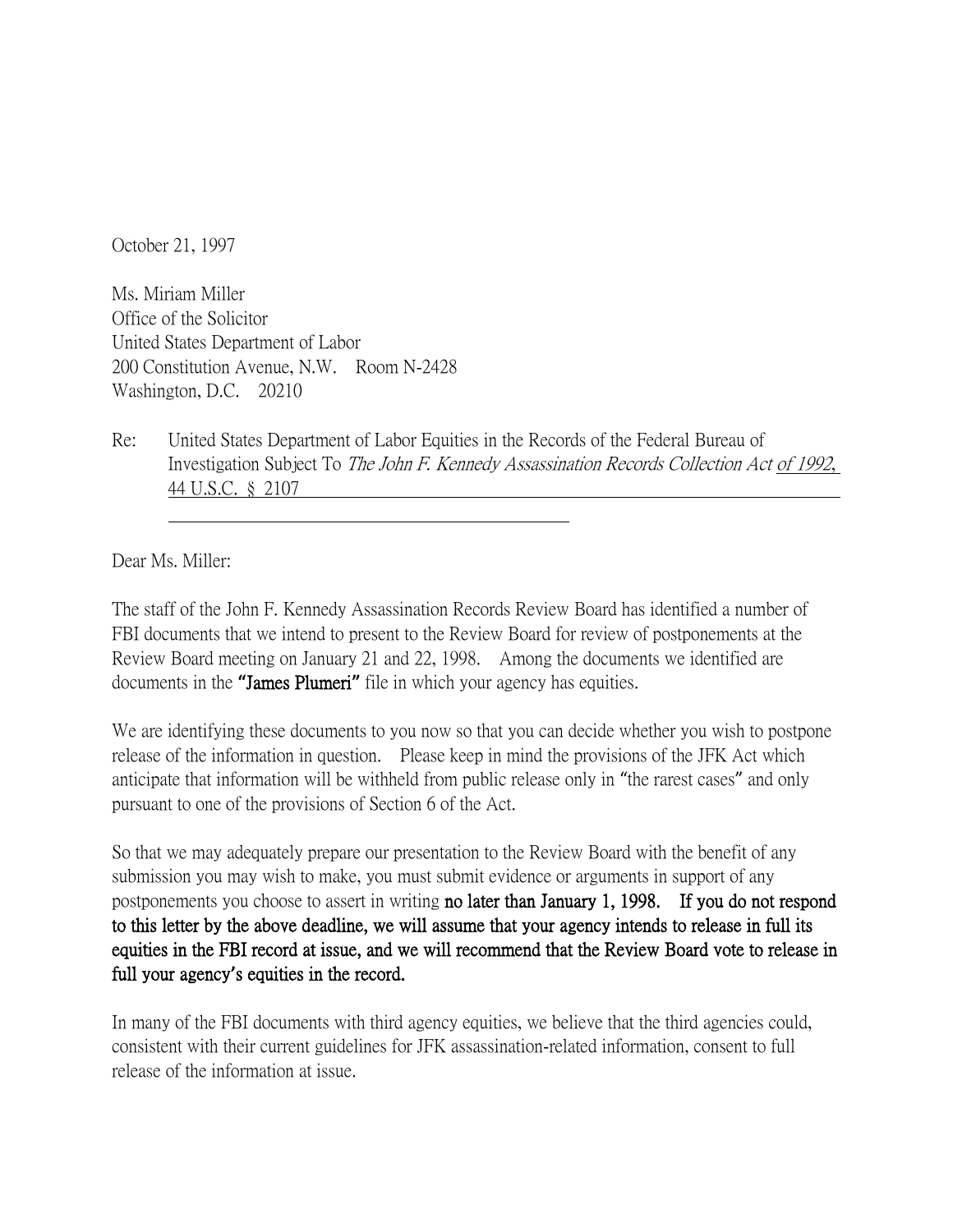October 21, 1997

Ms. Miriam Miller Office of the Solicitor United States Department of Labor 200 Constitution Avenue, N.W. Room N-2428 Washington, D.C. 20210

Re: United States Department of Labor Equities in the Records of the Federal Bureau of Investigation Subject To The John F. Kennedy Assassination Records Collection Act of 1992, 44 U.S.C. § 2107

Dear Ms. Miller:

The staff of the John F. Kennedy Assassination Records Review Board has identified a number of FBI documents that we intend to present to the Review Board for review of postponements at the Review Board meeting on January 21 and 22, 1998. Among the documents we identified are documents in the **"**James Plumeri**"** file in which your agency has equities.

We are identifying these documents to you now so that you can decide whether you wish to postpone release of the information in question. Please keep in mind the provisions of the JFK Act which anticipate that information will be withheld from public release only in "the rarest cases" and only pursuant to one of the provisions of Section 6 of the Act.

So that we may adequately prepare our presentation to the Review Board with the benefit of any submission you may wish to make, you must submit evidence or arguments in support of any postponements you choose to assert in writing no later than January 1, 1998. If you do not respond to this letter by the above deadline, we will assume that your agency intends to release in full its equities in the FBI record at issue, and we will recommend that the Review Board vote to release in full your agency**'**s equities in the record.

In many of the FBI documents with third agency equities, we believe that the third agencies could, consistent with their current guidelines for JFK assassination-related information, consent to full release of the information at issue.